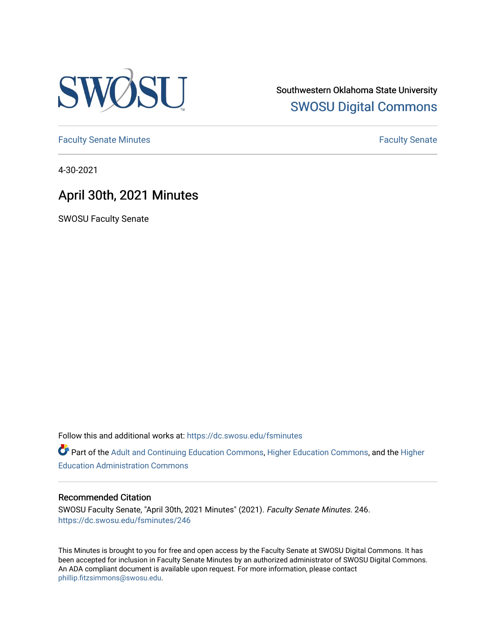

Southwestern Oklahoma State University [SWOSU Digital Commons](https://dc.swosu.edu/) 

[Faculty Senate Minutes](https://dc.swosu.edu/fsminutes) **Faculty** Senate Minutes

4-30-2021

## April 30th, 2021 Minutes

SWOSU Faculty Senate

Follow this and additional works at: [https://dc.swosu.edu/fsminutes](https://dc.swosu.edu/fsminutes?utm_source=dc.swosu.edu%2Ffsminutes%2F246&utm_medium=PDF&utm_campaign=PDFCoverPages) 

Part of the [Adult and Continuing Education Commons,](http://network.bepress.com/hgg/discipline/1375?utm_source=dc.swosu.edu%2Ffsminutes%2F246&utm_medium=PDF&utm_campaign=PDFCoverPages) [Higher Education Commons,](http://network.bepress.com/hgg/discipline/1245?utm_source=dc.swosu.edu%2Ffsminutes%2F246&utm_medium=PDF&utm_campaign=PDFCoverPages) and the [Higher](http://network.bepress.com/hgg/discipline/791?utm_source=dc.swosu.edu%2Ffsminutes%2F246&utm_medium=PDF&utm_campaign=PDFCoverPages) [Education Administration Commons](http://network.bepress.com/hgg/discipline/791?utm_source=dc.swosu.edu%2Ffsminutes%2F246&utm_medium=PDF&utm_campaign=PDFCoverPages) 

#### Recommended Citation

SWOSU Faculty Senate, "April 30th, 2021 Minutes" (2021). Faculty Senate Minutes. 246. [https://dc.swosu.edu/fsminutes/246](https://dc.swosu.edu/fsminutes/246?utm_source=dc.swosu.edu%2Ffsminutes%2F246&utm_medium=PDF&utm_campaign=PDFCoverPages) 

This Minutes is brought to you for free and open access by the Faculty Senate at SWOSU Digital Commons. It has been accepted for inclusion in Faculty Senate Minutes by an authorized administrator of SWOSU Digital Commons. An ADA compliant document is available upon request. For more information, please contact [phillip.fitzsimmons@swosu.edu](mailto:phillip.fitzsimmons@swosu.edu).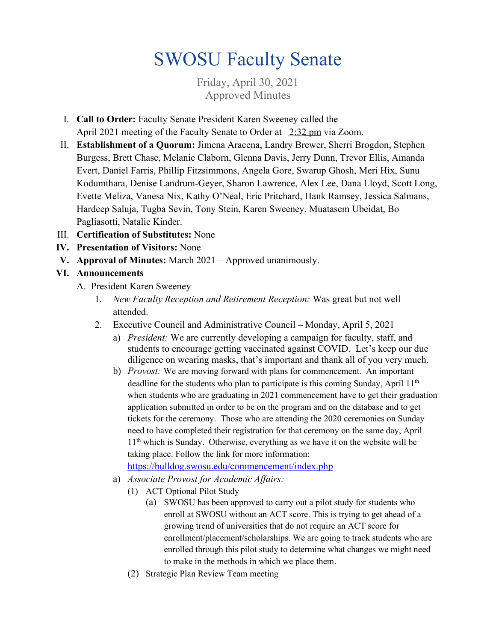# SWOSU Faculty Senate

Friday, April 30, 2021 Approved Minutes

- I. **Call to Order:** Faculty Senate President Karen Sweeney called the April 2021 meeting of the Faculty Senate to Order at 2:32 pm via Zoom.
- II. **Establishment of a Quorum:** Jimena Aracena, Landry Brewer, Sherri Brogdon, Stephen Burgess, Brett Chase, Melanie Claborn, Glenna Davis, Jerry Dunn, Trevor Ellis, Amanda Evert, Daniel Farris, Phillip Fitzsimmons, Angela Gore, Swarup Ghosh, Meri Hix, Sunu Kodumthara, Denise Landrum-Geyer, Sharon Lawrence, Alex Lee, Dana Lloyd, Scott Long, Evette Meliza, Vanesa Nix, Kathy O'Neal, Eric Pritchard, Hank Ramsey, Jessica Salmans, Hardeep Saluja, Tugba Sevin, Tony Stein, Karen Sweeney, Muatasem Ubeidat, Bo Pagliasotti, Natalie Kinder.
- III. **Certification of Substitutes:** None
- **IV. Presentation of Visitors:** None
- **V. Approval of Minutes:** March 2021 Approved unanimously.

#### **VI. Announcements**

- A. President Karen Sweeney
	- 1. *New Faculty Reception and Retirement Reception:* Was great but not well attended.
	- 2. Executive Council and Administrative Council Monday, April 5, 2021
		- a) *President:* We are currently developing a campaign for faculty, staff, and students to encourage getting vaccinated against COVID. Let's keep our due diligence on wearing masks, that's important and thank all of you very much.
		- b) *Provost:* We are moving forward with plans for commencement. An important deadline for the students who plan to participate is this coming Sunday, April  $11<sup>th</sup>$ when students who are graduating in 2021 commencement have to get their graduation application submitted in order to be on the program and on the database and to get tickets for the ceremony. Those who are attending the 2020 ceremonies on Sunday need to have completed their registration for that ceremony on the same day, April 11<sup>th</sup> which is Sunday. Otherwise, everything as we have it on the website will be taking place. Follow the link for more information:
			- <https://bulldog.swosu.edu/commencement/index.php>
		- a) *Associate Provost for Academic Affairs:*
			- (1) ACT Optional Pilot Study
				- (a) SWOSU has been approved to carry out a pilot study for students who enroll at SWOSU without an ACT score. This is trying to get ahead of a growing trend of universities that do not require an ACT score for enrollment/placement/scholarships. We are going to track students who are enrolled through this pilot study to determine what changes we might need to make in the methods in which we place them.
			- (2) Strategic Plan Review Team meeting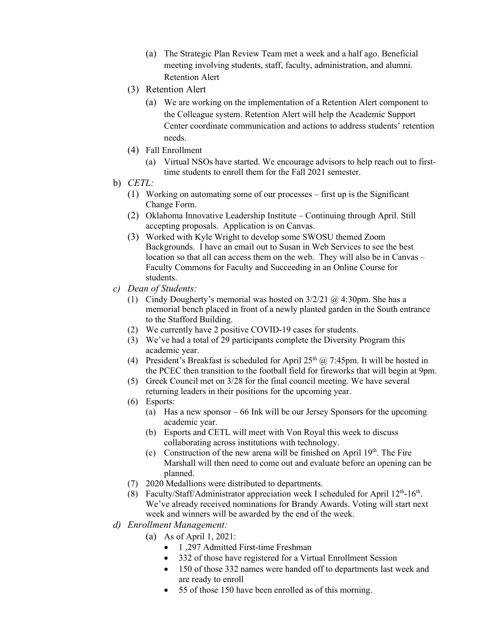- (a) The Strategic Plan Review Team met a week and a half ago. Beneficial meeting involving students, staff, faculty, administration, and alumni. Retention Alert
- (3) Retention Alert
	- (a) We are working on the implementation of a Retention Alert component to the Colleague system. Retention Alert will help the Academic Support Center coordinate communication and actions to address students' retention needs.
- (4) Fall Enrollment
	- (a) Virtual NSOs have started. We encourage advisors to help reach out to firsttime students to enroll them for the Fall 2021 semester.
- b) *CETL:*
	- (1) Working on automating some of our processes first up is the Significant Change Form.
	- (2) Oklahoma Innovative Leadership Institute Continuing through April. Still accepting proposals. Application is on Canvas.
	- (3) Worked with Kyle Wright to develop some SWOSU themed Zoom Backgrounds. I have an email out to Susan in Web Services to see the best location so that all can access them on the web. They will also be in Canvas – Faculty Commons for Faculty and Succeeding in an Online Course for students.
- *c) Dean of Students:* 
	- (1) Cindy Dougherty's memorial was hosted on 3/2/21 @ 4:30pm. She has a memorial bench placed in front of a newly planted garden in the South entrance to the Stafford Building.
	- (2) We currently have 2 positive COVID-19 cases for students.
	- (3) We've had a total of 29 participants complete the Diversity Program this academic year.
	- (4) President's Breakfast is scheduled for April  $25<sup>th</sup>$  @ 7:45pm. It will be hosted in the PCEC then transition to the football field for fireworks that will begin at 9pm.
	- (5) Greek Council met on 3/28 for the final council meeting. We have several returning leaders in their positions for the upcoming year.
	- (6) Esports:
		- (a) Has a new sponsor 66 Ink will be our Jersey Sponsors for the upcoming academic year.
		- (b) Esports and CETL will meet with Von Royal this week to discuss collaborating across institutions with technology.
		- (c) Construction of the new arena will be finished on April  $19<sup>th</sup>$ . The Fire Marshall will then need to come out and evaluate before an opening can be planned.
	- (7) 2020 Medallions were distributed to departments.
	- (8) Faculty/Staff/Administrator appreciation week I scheduled for April  $12<sup>th</sup>$ -16<sup>th</sup>. We've already received nominations for Brandy Awards. Voting will start next week and winners will be awarded by the end of the week.
- *d) Enrollment Management:*
	- (a) As of April 1, 2021:
		- 1,297 Admitted First-time Freshman
		- 332 of those have registered for a Virtual Enrollment Session
		- 150 of those 332 names were handed off to departments last week and are ready to enroll
		- 55 of those 150 have been enrolled as of this morning.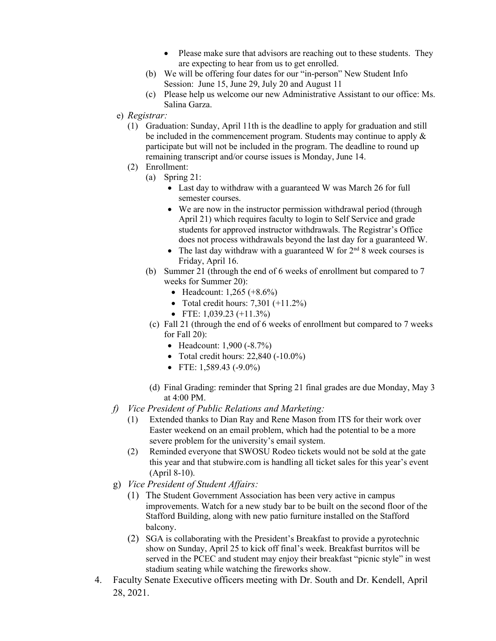- Please make sure that advisors are reaching out to these students. They are expecting to hear from us to get enrolled.
- (b) We will be offering four dates for our "in-person" New Student Info Session: June 15, June 29, July 20 and August 11
- (c) Please help us welcome our new Administrative Assistant to our office: Ms. Salina Garza.
- e) *Registrar:*
	- (1) Graduation: Sunday, April 11th is the deadline to apply for graduation and still be included in the commencement program. Students may continue to apply & participate but will not be included in the program. The deadline to round up remaining transcript and/or course issues is Monday, June 14.
	- (2) Enrollment:
		- (a) Spring 21:
			- Last day to withdraw with a guaranteed W was March 26 for full semester courses.
			- We are now in the instructor permission withdrawal period (through April 21) which requires faculty to login to Self Service and grade students for approved instructor withdrawals. The Registrar's Office does not process withdrawals beyond the last day for a guaranteed W.
			- The last day withdraw with a guaranteed W for  $2<sup>nd</sup> 8$  week courses is Friday, April 16.
		- (b) Summer 21 (through the end of 6 weeks of enrollment but compared to 7 weeks for Summer 20):
			- Headcount:  $1,265 (+8.6%)$
			- Total credit hours:  $7,301 (+11.2\%)$
			- FTE:  $1,039.23$  (+11.3%)
		- (c) Fall 21 (through the end of 6 weeks of enrollment but compared to 7 weeks for Fall 20):
			- Headcount: 1,900 (-8.7%)
			- Total credit hours:  $22,840$  (-10.0%)
			- FTE:  $1,589.43$  (-9.0%)
		- (d) Final Grading: reminder that Spring 21 final grades are due Monday, May 3 at 4:00 PM.
- *f) Vice President of Public Relations and Marketing:*
	- (1) Extended thanks to Dian Ray and Rene Mason from ITS for their work over Easter weekend on an email problem, which had the potential to be a more severe problem for the university's email system.
	- (2) Reminded everyone that SWOSU Rodeo tickets would not be sold at the gate this year and that stubwire.com is handling all ticket sales for this year's event (April 8-10).
- g) *Vice President of Student Affairs:*
	- (1) The Student Government Association has been very active in campus improvements. Watch for a new study bar to be built on the second floor of the Stafford Building, along with new patio furniture installed on the Stafford balcony.
	- (2) SGA is collaborating with the President's Breakfast to provide a pyrotechnic show on Sunday, April 25 to kick off final's week. Breakfast burritos will be served in the PCEC and student may enjoy their breakfast "picnic style" in west stadium seating while watching the fireworks show.
- 4. Faculty Senate Executive officers meeting with Dr. South and Dr. Kendell, April 28, 2021.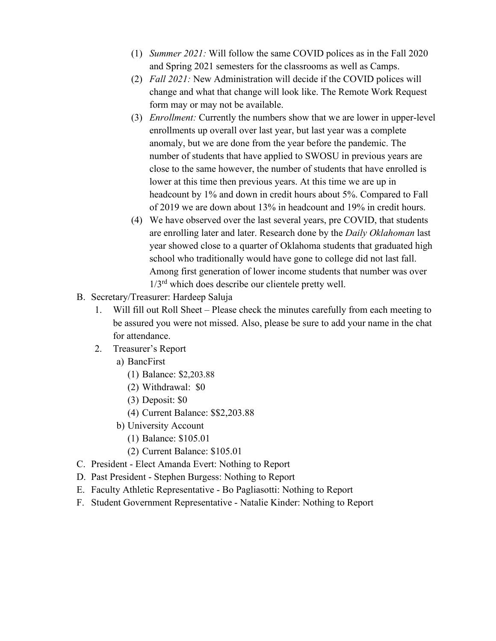- (1) *Summer 2021:* Will follow the same COVID polices as in the Fall 2020 and Spring 2021 semesters for the classrooms as well as Camps.
- (2) *Fall 2021:* New Administration will decide if the COVID polices will change and what that change will look like. The Remote Work Request form may or may not be available.
- (3) *Enrollment:* Currently the numbers show that we are lower in upper-level enrollments up overall over last year, but last year was a complete anomaly, but we are done from the year before the pandemic. The number of students that have applied to SWOSU in previous years are close to the same however, the number of students that have enrolled is lower at this time then previous years. At this time we are up in headcount by 1% and down in credit hours about 5%. Compared to Fall of 2019 we are down about 13% in headcount and 19% in credit hours.
- (4) We have observed over the last several years, pre COVID, that students are enrolling later and later. Research done by the *Daily Oklahoman* last year showed close to a quarter of Oklahoma students that graduated high school who traditionally would have gone to college did not last fall. Among first generation of lower income students that number was over  $1/3<sup>rd</sup>$  which does describe our clientele pretty well.
- B. Secretary/Treasurer: Hardeep Saluja
	- 1. Will fill out Roll Sheet Please check the minutes carefully from each meeting to be assured you were not missed. Also, please be sure to add your name in the chat for attendance.
	- 2. Treasurer's Report
		- a) BancFirst
			- (1) Balance: \$2,203.88
			- (2) Withdrawal: \$0
			- (3) Deposit: \$0
			- (4) Current Balance: \$\$2,203.88
		- b) University Account
			- (1) Balance: \$105.01
			- (2) Current Balance: \$105.01
- C. President Elect Amanda Evert: Nothing to Report
- D. Past President Stephen Burgess: Nothing to Report
- E. Faculty Athletic Representative Bo Pagliasotti: Nothing to Report
- F. Student Government Representative Natalie Kinder: Nothing to Report